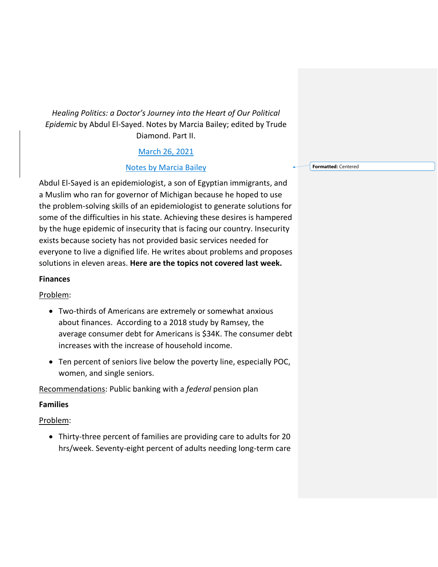# *Healing Politics: a Doctor's Journey into the Heart of Our Political Epidemic* by Abdul El-Sayed. Notes by Marcia Bailey; edited by Trude Diamond. Part II.

### March 26, 2021

### Notes by Marcia Bailey

Abdul El-Sayed is an epidemiologist, a son of Egyptian immigrants, and a Muslim who ran for governor of Michigan because he hoped to use the problem-solving skills of an epidemiologist to generate solutions for some of the difficulties in his state. Achieving these desires is hampered by the huge epidemic of insecurity that is facing our country. Insecurity exists because society has not provided basic services needed for everyone to live a dignified life. He writes about problems and proposes solutions in eleven areas. **Here are the topics not covered last week.**

#### **Finances**

### Problem:

- Two-thirds of Americans are extremely or somewhat anxious about finances. According to a 2018 study by Ramsey, the average consumer debt for Americans is \$34K. The consumer debt increases with the increase of household income.
- Ten percent of seniors live below the poverty line, especially POC, women, and single seniors.

Recommendations: Public banking with a *federal* pension plan

### **Families**

### Problem:

• Thirty-three percent of families are providing care to adults for 20 hrs/week. Seventy-eight percent of adults needing long-term care **Formatted:** Centered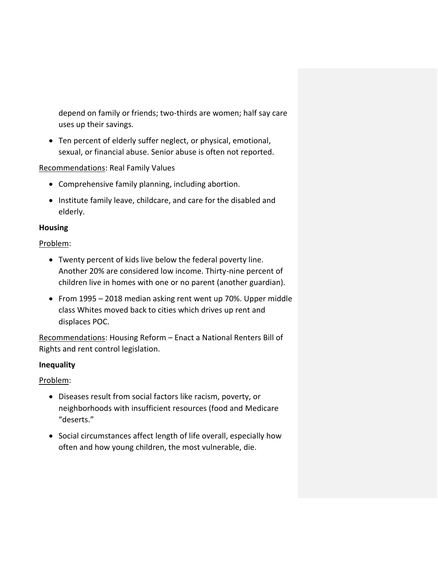depend on family or friends; two-thirds are women; half say care uses up their savings.

• Ten percent of elderly suffer neglect, or physical, emotional, sexual, or financial abuse. Senior abuse is often not reported.

Recommendations: Real Family Values

- Comprehensive family planning, including abortion.
- Institute family leave, childcare, and care for the disabled and elderly.

## **Housing**

## Problem:

- Twenty percent of kids live below the federal poverty line. Another 20% are considered low income. Thirty-nine percent of children live in homes with one or no parent (another guardian).
- From 1995 2018 median asking rent went up 70%. Upper middle class Whites moved back to cities which drives up rent and displaces POC.

Recommendations: Housing Reform – Enact a National Renters Bill of Rights and rent control legislation.

# **Inequality**

# Problem:

- Diseases result from social factors like racism, poverty, or neighborhoods with insufficient resources (food and Medicare "deserts."
- Social circumstances affect length of life overall, especially how often and how young children, the most vulnerable, die.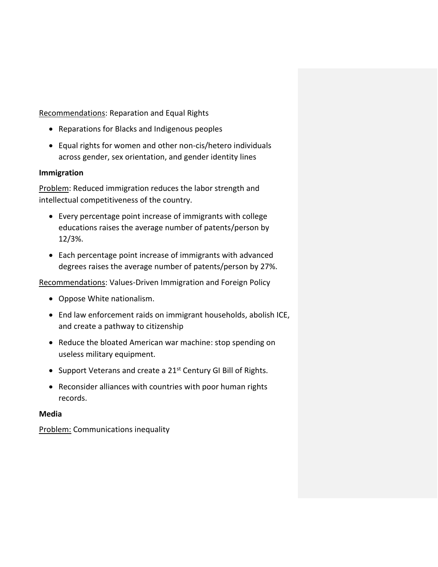Recommendations: Reparation and Equal Rights

- Reparations for Blacks and Indigenous peoples
- Equal rights for women and other non-cis/hetero individuals across gender, sex orientation, and gender identity lines

### **Immigration**

Problem: Reduced immigration reduces the labor strength and intellectual competitiveness of the country.

- Every percentage point increase of immigrants with college educations raises the average number of patents/person by 12/3%.
- Each percentage point increase of immigrants with advanced degrees raises the average number of patents/person by 27%.

Recommendations: Values-Driven Immigration and Foreign Policy

- Oppose White nationalism.
- End law enforcement raids on immigrant households, abolish ICE, and create a pathway to citizenship
- Reduce the bloated American war machine: stop spending on useless military equipment.
- Support Veterans and create a 21<sup>st</sup> Century GI Bill of Rights.
- Reconsider alliances with countries with poor human rights records.

### **Media**

Problem: Communications inequality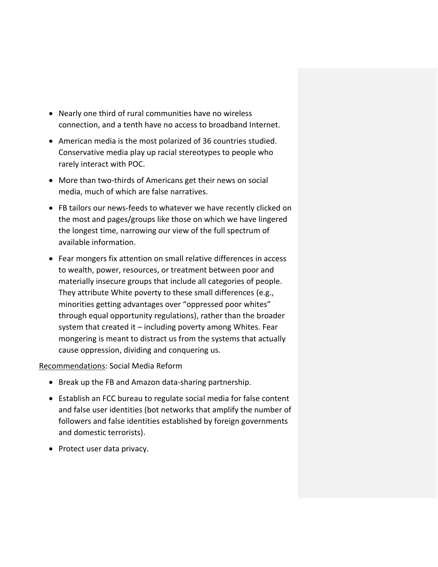- Nearly one third of rural communities have no wireless connection, and a tenth have no access to broadband Internet.
- American media is the most polarized of 36 countries studied. Conservative media play up racial stereotypes to people who rarely interact with POC.
- More than two-thirds of Americans get their news on social media, much of which are false narratives.
- FB tailors our news-feeds to whatever we have recently clicked on the most and pages/groups like those on which we have lingered the longest time, narrowing our view of the full spectrum of available information.
- Fear mongers fix attention on small relative differences in access to wealth, power, resources, or treatment between poor and materially insecure groups that include all categories of people. They attribute White poverty to these small differences (e.g., minorities getting advantages over "oppressed poor whites" through equal opportunity regulations), rather than the broader system that created it – including poverty among Whites. Fear mongering is meant to distract us from the systems that actually cause oppression, dividing and conquering us.

### Recommendations: Social Media Reform

- Break up the FB and Amazon data-sharing partnership.
- Establish an FCC bureau to regulate social media for false content and false user identities (bot networks that amplify the number of followers and false identities established by foreign governments and domestic terrorists).
- Protect user data privacy.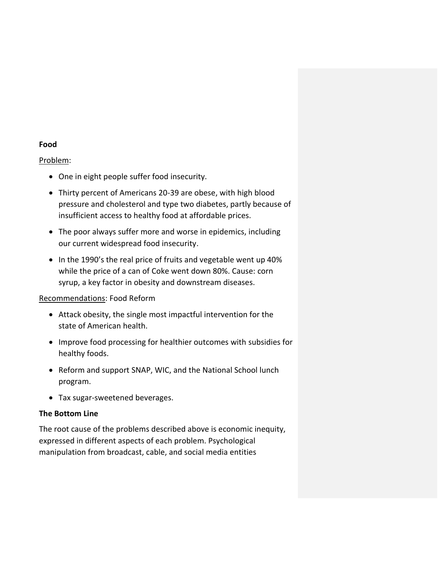### **Food**

### Problem:

- One in eight people suffer food insecurity.
- Thirty percent of Americans 20-39 are obese, with high blood pressure and cholesterol and type two diabetes, partly because of insufficient access to healthy food at affordable prices.
- The poor always suffer more and worse in epidemics, including our current widespread food insecurity.
- In the 1990's the real price of fruits and vegetable went up 40% while the price of a can of Coke went down 80%. Cause: corn syrup, a key factor in obesity and downstream diseases.

### Recommendations: Food Reform

- Attack obesity, the single most impactful intervention for the state of American health.
- Improve food processing for healthier outcomes with subsidies for healthy foods.
- Reform and support SNAP, WIC, and the National School lunch program.
- Tax sugar-sweetened beverages.

### **The Bottom Line**

The root cause of the problems described above is economic inequity, expressed in different aspects of each problem. Psychological manipulation from broadcast, cable, and social media entities